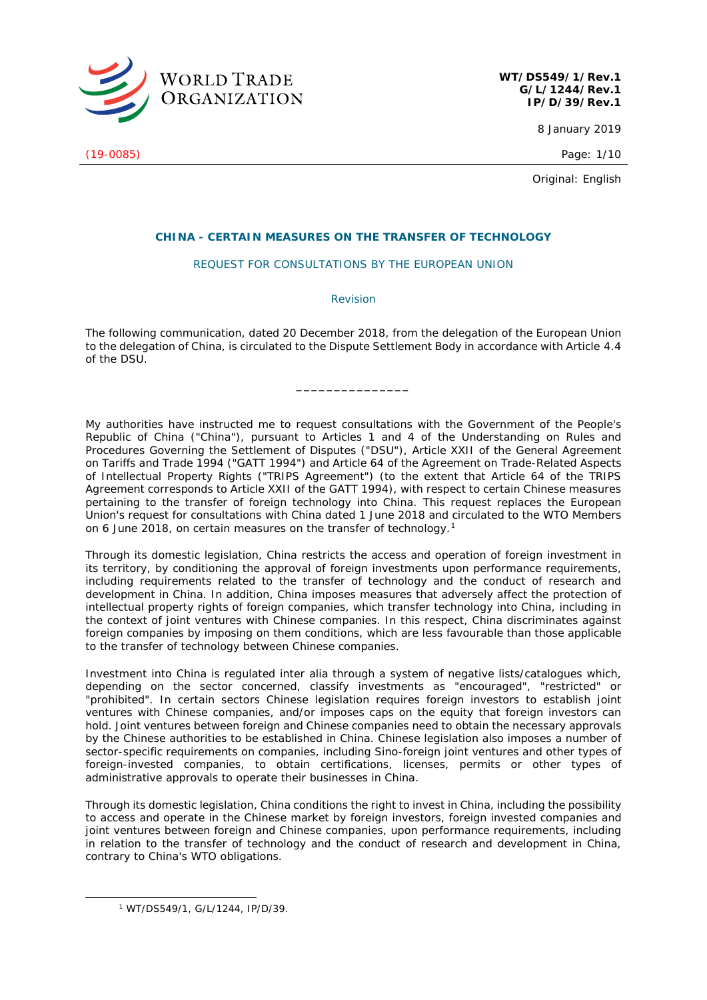

**WT/DS549/1/Rev.1 G/L/1244/Rev.1 IP/D/39/Rev.1**

8 January 2019

(19-0085) Page: 1/10

Original: English

## **CHINA - CERTAIN MEASURES ON THE TRANSFER OF TECHNOLOGY**

## REQUEST FOR CONSULTATIONS BY THE EUROPEAN UNION

*Revision*

The following communication, dated 20 December 2018, from the delegation of the European Union to the delegation of China, is circulated to the Dispute Settlement Body in accordance with Article 4.4 of the DSU.

**\_\_\_\_\_\_\_\_\_\_\_\_\_\_\_**

My authorities have instructed me to request consultations with the Government of the People's Republic of China ("China"), pursuant to Articles 1 and 4 of the *Understanding on Rules and Procedures Governing the Settlement of Disputes* ("DSU"), Article XXII of the General Agreement on Tariffs and Trade 1994 ("GATT 1994") and Article 64 of the *Agreement on Trade-Related Aspects of Intellectual Property Rights* ("TRIPS Agreement") (to the extent that Article 64 of the TRIPS Agreement corresponds to Article XXII of the *GATT 1994*), with respect to certain Chinese measures pertaining to the transfer of foreign technology into China. This request replaces the European Union's request for consultations with China dated 1 June 2018 and circulated to the WTO Members on 6 June 2018, on certain measures on the transfer of technology.[1](#page-0-0)

Through its domestic legislation, China restricts the access and operation of foreign investment in its territory, by conditioning the approval of foreign investments upon performance requirements, including requirements related to the transfer of technology and the conduct of research and development in China. In addition, China imposes measures that adversely affect the protection of intellectual property rights of foreign companies, which transfer technology into China, including in the context of joint ventures with Chinese companies. In this respect, China discriminates against foreign companies by imposing on them conditions, which are less favourable than those applicable to the transfer of technology between Chinese companies.

Investment into China is regulated *inter alia* through a system of negative lists/catalogues which, depending on the sector concerned, classify investments as "encouraged", "restricted" or "prohibited". In certain sectors Chinese legislation requires foreign investors to establish joint ventures with Chinese companies, and/or imposes caps on the equity that foreign investors can hold. Joint ventures between foreign and Chinese companies need to obtain the necessary approvals by the Chinese authorities to be established in China. Chinese legislation also imposes a number of sector-specific requirements on companies, including Sino-foreign joint ventures and other types of foreign-invested companies, to obtain certifications, licenses, permits or other types of administrative approvals to operate their businesses in China.

Through its domestic legislation, China conditions the right to invest in China, including the possibility to access and operate in the Chinese market by foreign investors, foreign invested companies and joint ventures between foreign and Chinese companies, upon performance requirements, including in relation to the transfer of technology and the conduct of research and development in China, contrary to China's WTO obligations.

<span id="page-0-0"></span> <sup>1</sup> WT/DS549/1, G/L/1244, IP/D/39.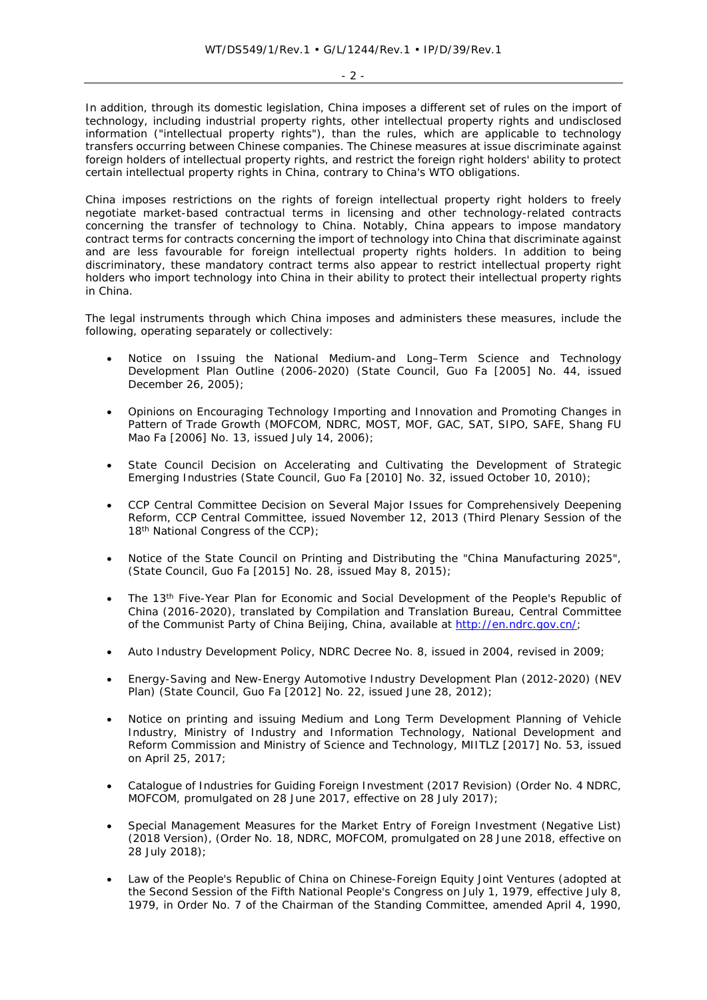$-2 -$ 

In addition, through its domestic legislation, China imposes a different set of rules on the import of technology, including industrial property rights, other intellectual property rights and undisclosed information ("intellectual property rights"), than the rules, which are applicable to technology transfers occurring between Chinese companies. The Chinese measures at issue discriminate against foreign holders of intellectual property rights, and restrict the foreign right holders' ability to protect certain intellectual property rights in China, contrary to China's WTO obligations.

China imposes restrictions on the rights of foreign intellectual property right holders to freely negotiate market-based contractual terms in licensing and other technology-related contracts concerning the transfer of technology to China. Notably, China appears to impose mandatory contract terms for contracts concerning the import of technology into China that discriminate against and are less favourable for foreign intellectual property rights holders. In addition to being discriminatory, these mandatory contract terms also appear to restrict intellectual property right holders who import technology into China in their ability to protect their intellectual property rights in China.

The legal instruments through which China imposes and administers these measures, include the following, operating separately or collectively:

- *Notice on Issuing the National Medium-and Long–Term Science and Technology Development Plan Outline* (2006-2020) (State Council, Guo Fa [2005] No. 44, issued December 26, 2005);
- *Opinions on Encouraging Technology Importing and Innovation and Promoting Changes in Pattern of Trade Growth* (MOFCOM, NDRC, MOST, MOF, GAC, SAT, SIPO, SAFE, Shang FU Mao Fa [2006] No. 13, issued July 14, 2006)*;*
- *State Council Decision on Accelerating and Cultivating the Development of Strategic Emerging Industries* (State Council, Guo Fa [2010] No. 32, issued October 10, 2010);
- *CCP Central Committee Decision on Several Major Issues for Comprehensively Deepening Reform,* CCP Central Committee, issued November 12, 2013 (Third Plenary Session of the 18<sup>th</sup> National Congress of the CCP);
- *Notice of the State Council on Printing and Distributing the "China Manufacturing 2025"*, (State Council, Guo Fa [2015] No. 28, issued May 8, 2015);
- *The 13th Five-Year Plan for Economic and Social Development of the People's Republic of China (2016-2020)*, translated by Compilation and Translation Bureau, Central Committee of the Communist Party of China Beijing, China*,* available at [http://en.ndrc.gov.cn/;](http://en.ndrc.gov.cn/)
- *Auto Industry Development Policy,* NDRC Decree No. 8, issued in 2004, revised in 2009;
- *Energy-Saving and New-Energy Automotive Industry Development Plan (2012-2020) (NEV Plan)* (State Council, Guo Fa [2012] No. 22, issued June 28, 2012);
- *Notice on printing and issuing Medium and Long Term Development Planning of Vehicle Industry,* Ministry of Industry and Information Technology, National Development and Reform Commission and Ministry of Science and Technology, MIITLZ [2017] No. 53, issued on April 25, 2017;
- *Catalogue of Industries for Guiding Foreign Investment (2017 Revision)* (Order No. 4 NDRC, MOFCOM, promulgated on 28 June 2017, effective on 28 July 2017);
- *Special Management Measures for the Market Entry of Foreign Investment (Negative List) (2018 Version)*, (Order No. 18, NDRC, MOFCOM, promulgated on 28 June 2018, effective on  $28$  July 2018);
- *Law of the People's Republic of China on Chinese-Foreign Equity Joint Ventures* (adopted at the Second Session of the Fifth National People's Congress on July 1, 1979, effective July 8, 1979, in Order No. 7 of the Chairman of the Standing Committee, amended April 4, 1990,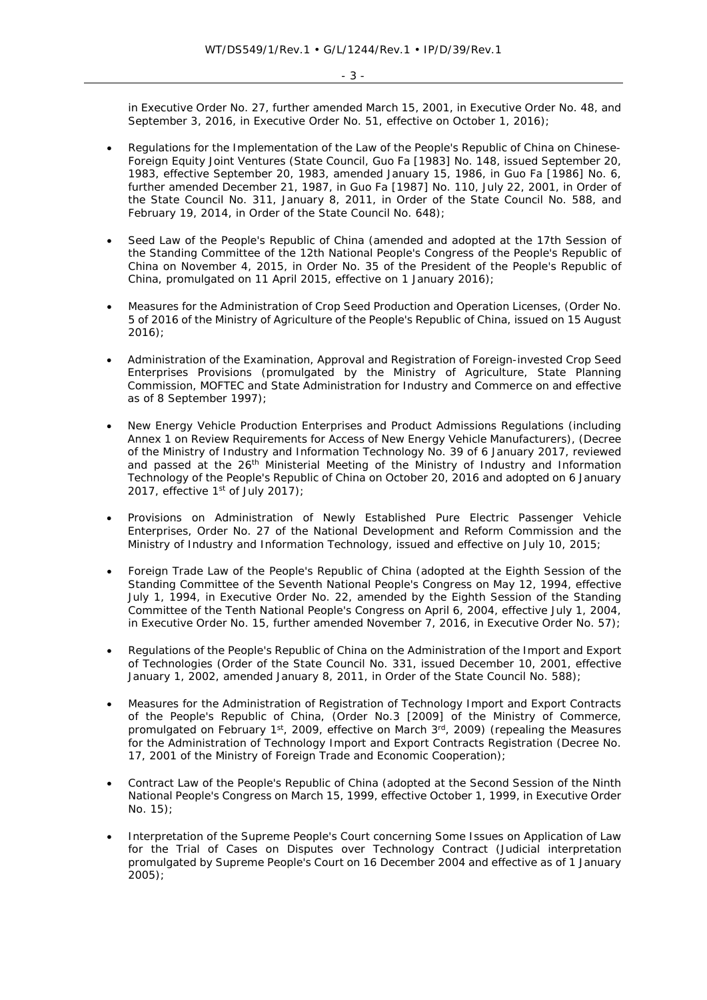in Executive Order No. 27, further amended March 15, 2001, in Executive Order No. 48, and September 3, 2016, in Executive Order No. 51, effective on October 1, 2016);

- *Regulations for the Implementation of the Law of the People's Republic of China on Chinese-Foreign Equity Joint Ventures* (State Council, Guo Fa [1983] No. 148, issued September 20, 1983, effective September 20, 1983, amended January 15, 1986, in Guo Fa [1986] No. 6, further amended December 21, 1987, in Guo Fa [1987] No. 110, July 22, 2001, in Order of the State Council No. 311, January 8, 2011, in Order of the State Council No. 588, and February 19, 2014, in Order of the State Council No. 648);
- *Seed Law of the People's Republic of China* (amended and adopted at the 17th Session of the Standing Committee of the 12th National People's Congress of the People's Republic of China on November 4, 2015, in Order No. 35 of the President of the People's Republic of China, promulgated on 11 April 2015, effective on 1 January 2016);
- *Measures for the Administration of Crop Seed Production and Operation Licenses*, (Order No. 5 of 2016 of the Ministry of Agriculture of the People's Republic of China, issued on 15 August 2016);
- *Administration of the Examination, Approval and Registration of Foreign-invested Crop Seed Enterprises Provisions* (promulgated by the Ministry of Agriculture, State Planning Commission, MOFTEC and State Administration for Industry and Commerce on and effective as of 8 September 1997);
- *New Energy Vehicle Production Enterprises and Product Admissions Regulations* (including *Annex 1 on Review Requirements for Access of New Energy Vehicle Manufacturers*), (Decree of the Ministry of Industry and Information Technology No. 39 of 6 January 2017, reviewed and passed at the 26<sup>th</sup> Ministerial Meeting of the Ministry of Industry and Information Technology of the People's Republic of China on October 20, 2016 and adopted on 6 January 2017, effective  $1<sup>st</sup>$  of July 2017);
- *Provisions on Administration of Newly Established Pure Electric Passenger Vehicle Enterprises,* Order No. 27 of the National Development and Reform Commission and the Ministry of Industry and Information Technology, issued and effective on July 10, 2015;
- *Foreign Trade Law of the People's Republic of China* (adopted at the Eighth Session of the Standing Committee of the Seventh National People's Congress on May 12, 1994, effective July 1, 1994, in Executive Order No. 22, amended by the Eighth Session of the Standing Committee of the Tenth National People's Congress on April 6, 2004, effective July 1, 2004, in Executive Order No. 15, further amended November 7, 2016, in Executive Order No. 57);
- *Regulations of the People's Republic of China on the Administration of the Import and Export of Technologies* (Order of the State Council No. 331, issued December 10, 2001, effective January 1, 2002, amended January 8, 2011, in Order of the State Council No. 588);
- *Measures for the Administration of Registration of Technology Import and Export Contracts of the People's Republic of China,* (Order No.3 [2009] of the Ministry of Commerce, promulgated on February 1st, 2009, effective on March 3rd, 2009) (repealing the *Measures for the Administration of Technology Import and Export Contracts Registration (Decree No.* 17, 2001 of the Ministry of Foreign Trade and Economic Cooperation);
- *Contract Law of the People's Republic of China* (adopted at the Second Session of the Ninth National People's Congress on March 15, 1999, effective October 1, 1999, in Executive Order No. 15);
- *Interpretation of the Supreme People's Court concerning Some Issues on Application of Law for the Trial of Cases on Disputes over Technology Contract* (Judicial interpretation promulgated by Supreme People's Court on 16 December 2004 and effective as of 1 January 2005);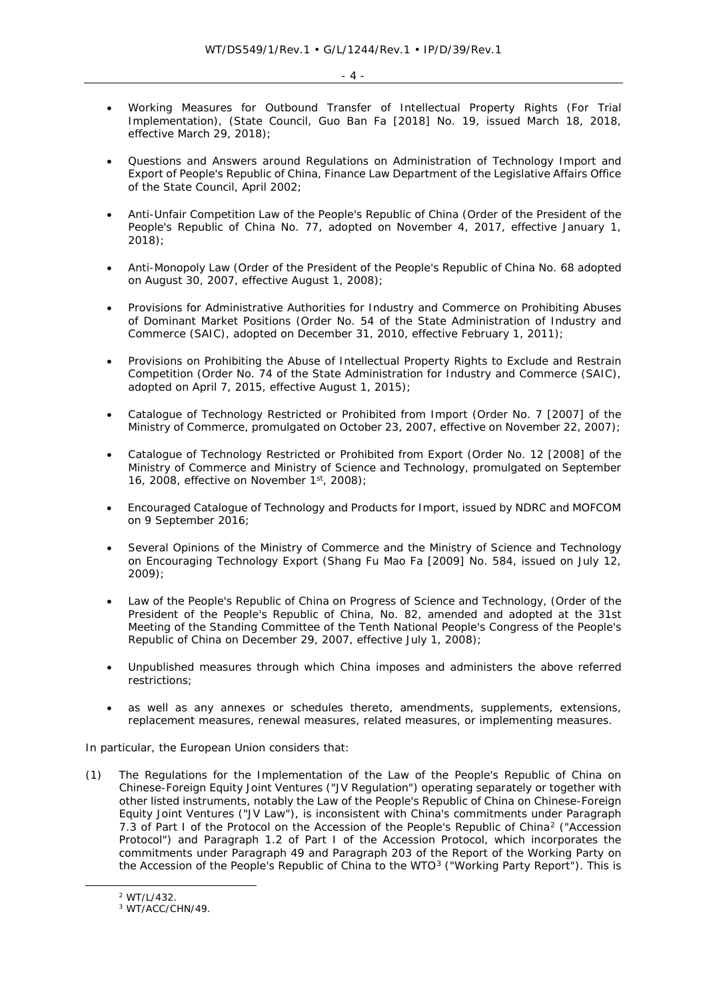- *Working Measures for Outbound Transfer of Intellectual Property Rights (For Trial Implementation)*, (State Council, Guo Ban Fa [2018] No. 19, issued March 18, 2018, effective March 29, 2018);
- *Questions and Answers around Regulations on Administration of Technology Import and Export of People's Republic of China*, Finance Law Department of the Legislative Affairs Office of the State Council, April 2002;
- *Anti-Unfair Competition Law of the People's Republic of China* (Order of the President of the People's Republic of China No. 77, adopted on November 4, 2017, effective January 1, 2018);
- *Anti-Monopoly Law* (Order of the President of the People's Republic of China No. 68 adopted on August 30, 2007, effective August 1, 2008);
- *Provisions for Administrative Authorities for Industry and Commerce on Prohibiting Abuses of Dominant Market Positions* (Order No. 54 of the State Administration of Industry and Commerce (SAIC), adopted on December 31, 2010, effective February 1, 2011);
- *Provisions on Prohibiting the Abuse of Intellectual Property Rights to Exclude and Restrain Competition* (Order No. 74 of the State Administration for Industry and Commerce (SAIC), adopted on April 7, 2015, effective August 1, 2015);
- *Catalogue of Technology Restricted or Prohibited from Import* (Order No. 7 [2007] of the Ministry of Commerce, promulgated on October 23, 2007, effective on November 22, 2007);
- *Catalogue of Technology Restricted or Prohibited from Export* (Order No. 12 [2008] of the Ministry of Commerce and Ministry of Science and Technology, promulgated on September 16, 2008, effective on November 1st, 2008);
- *Encouraged Catalogue of Technology and Products for Import*, issued by NDRC and MOFCOM on 9 September 2016;
- *Several Opinions of the Ministry of Commerce and the Ministry of Science and Technology on Encouraging Technology Export* (Shang Fu Mao Fa [2009] No. 584, issued on July 12, 2009);
- *Law of the People's Republic of China on Progress of Science and Technology*, (Order of the President of the People's Republic of China, No. 82, amended and adopted at the 31st Meeting of the Standing Committee of the Tenth National People's Congress of the People's Republic of China on December 29, 2007, effective July 1, 2008);
- Unpublished measures through which China imposes and administers the above referred restrictions;
- as well as any annexes or schedules thereto, amendments, supplements, extensions, replacement measures, renewal measures, related measures, or implementing measures.

In particular, the European Union considers that:

(1) The *Regulations for the Implementation of the Law of the People's Republic of China on Chinese-Foreign Equity Joint Ventures* ("JV Regulation") operating separately or together with other listed instruments, notably the *Law of the People's Republic of China on Chinese-Foreign Equity Joint Ventures* ("JV Law"), is inconsistent with China's commitments under Paragraph 7.3 of Part I of the *Protocol on the Accession of the People's Republic of China[2](#page-3-0)* ("Accession Protocol") and Paragraph 1.2 of Part I of the Accession Protocol, which incorporates the commitments under Paragraph 49 and Paragraph 203 of the Report of the *Working Party on the Accession of the People's Republic of China to the WTO[3](#page-3-1)* ("Working Party Report"). This is

<span id="page-3-1"></span><span id="page-3-0"></span> <sup>2</sup> WT/L/432.

<sup>&</sup>lt;sup>3</sup> WT/ACC/CHN/49.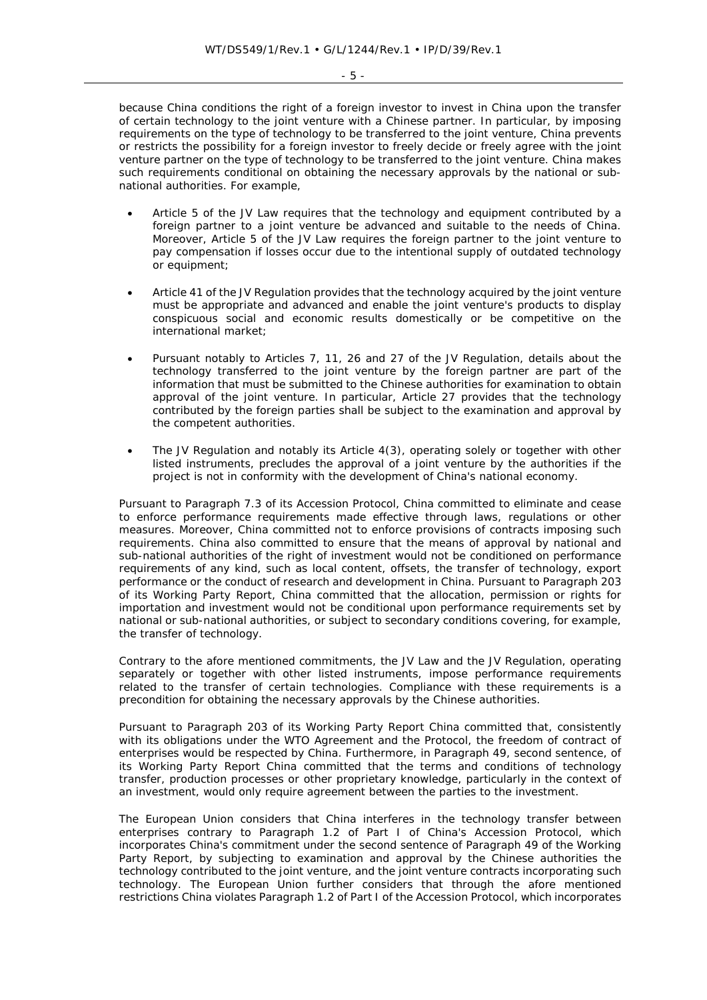- 5 -

because China conditions the right of a foreign investor to invest in China upon the transfer of certain technology to the joint venture with a Chinese partner. In particular, by imposing requirements on the type of technology to be transferred to the joint venture, China prevents or restricts the possibility for a foreign investor to freely decide or freely agree with the joint venture partner on the type of technology to be transferred to the joint venture. China makes such requirements conditional on obtaining the necessary approvals by the national or subnational authorities. For example,

- Article 5 of the *JV Law* requires that the technology and equipment contributed by a foreign partner to a joint venture be advanced and suitable to the needs of China. Moreover, Article 5 of the *JV Law* requires the foreign partner to the joint venture to pay compensation if losses occur due to the intentional supply of outdated technology or equipment;
- Article 41 of the *JV Regulation* provides that the technology acquired by the joint venture must be appropriate and advanced and enable the joint venture's products to display conspicuous social and economic results domestically or be competitive on the international market;
- Pursuant notably to Articles 7, 11, 26 and 27 of the *JV Regulation*, details about the technology transferred to the joint venture by the foreign partner are part of the information that must be submitted to the Chinese authorities for examination to obtain approval of the joint venture. In particular, Article 27 provides that the technology contributed by the foreign parties shall be subject to the examination and approval by the competent authorities.
- The *JV Regulation* and notably its Article 4(3), operating solely or together with other listed instruments, precludes the approval of a joint venture by the authorities if the project is not in conformity with the development of China's national economy.

Pursuant to Paragraph 7.3 of its *Accession Protocol,* China committed to eliminate and cease to enforce performance requirements made effective through laws, regulations or other measures. Moreover, China committed not to enforce provisions of contracts imposing such requirements. China also committed to ensure that the means of approval by national and sub-national authorities of the right of investment would not be conditioned on performance requirements of any kind, such as local content, offsets, the transfer of technology, export performance or the conduct of research and development in China. Pursuant to Paragraph 203 of its *Working Party Report*, China committed that the allocation, permission or rights for importation and investment would not be conditional upon performance requirements set by national or sub-national authorities, or subject to secondary conditions covering, for example, the transfer of technology.

Contrary to the afore mentioned commitments, the *JV Law* and the *JV Regulation,* operating separately or together with other listed instruments, impose performance requirements related to the transfer of certain technologies. Compliance with these requirements is a precondition for obtaining the necessary approvals by the Chinese authorities.

Pursuant to Paragraph 203 of its *Working Party Report* China committed that, consistently with its obligations under the WTO Agreement and the Protocol, the freedom of contract of enterprises would be respected by China. Furthermore, in Paragraph 49, second sentence, of its *Working Party Report* China committed that the terms and conditions of technology transfer, production processes or other proprietary knowledge, particularly in the context of an investment, would only require agreement between the parties to the investment.

The European Union considers that China interferes in the technology transfer between enterprises contrary to Paragraph 1.2 of Part I of China's Accession Protocol, which incorporates China's commitment under the second sentence of Paragraph 49 of the Working Party Report, by subjecting to examination and approval by the Chinese authorities the technology contributed to the joint venture, and the joint venture contracts incorporating such technology. The European Union further considers that through the afore mentioned restrictions China violates Paragraph 1.2 of Part I of the Accession Protocol, which incorporates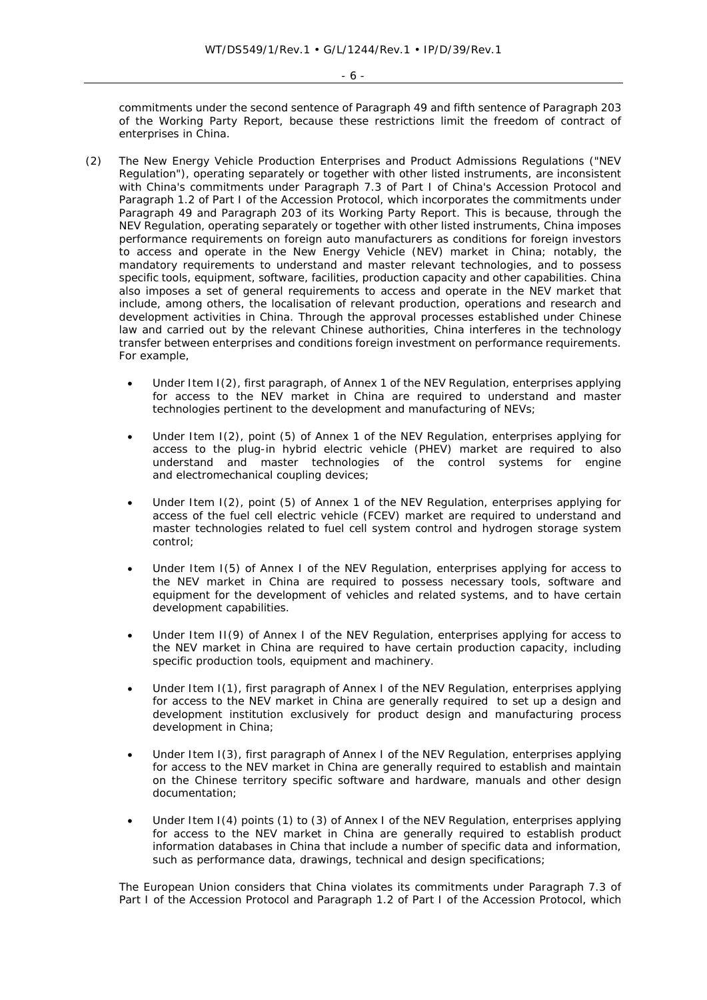- 6 -

commitments under the second sentence of Paragraph 49 and fifth sentence of Paragraph 203 of the Working Party Report, because these restrictions limit the freedom of contract of enterprises in China.

- (2) The *New Energy Vehicle Production Enterprises and Product Admissions Regulations* ("NEV Regulation"), operating separately or together with other listed instruments, are inconsistent with China's commitments under Paragraph 7.3 of Part I of China's *Accession Protocol* and Paragraph 1.2 of Part I of the Accession Protocol, which incorporates the commitments under Paragraph 49 and Paragraph 203 of its Working Party Report. This is because, through the NEV Regulation, operating separately or together with other listed instruments, China imposes performance requirements on foreign auto manufacturers as conditions for foreign investors to access and operate in the New Energy Vehicle (NEV) market in China; notably, the mandatory requirements to understand and master relevant technologies, and to possess specific tools, equipment, software, facilities, production capacity and other capabilities. China also imposes a set of general requirements to access and operate in the NEV market that include, among others, the localisation of relevant production, operations and research and development activities in China. Through the approval processes established under Chinese law and carried out by the relevant Chinese authorities, China interferes in the technology transfer between enterprises and conditions foreign investment on performance requirements. For example,
	- Under Item I(2), first paragraph, of Annex 1 of the *NEV Regulation*, enterprises applying for access to the NEV market in China are required to understand and master technologies pertinent to the development and manufacturing of NEVs;
	- Under Item I(2), point (5) of Annex 1 of the *NEV Regulation*, enterprises applying for access to the plug-in hybrid electric vehicle (PHEV) market are required to also understand and master technologies of the control systems for engine and electromechanical coupling devices;
	- Under Item I(2), point (5) of Annex 1 of the *NEV Regulation*, enterprises applying for access of the fuel cell electric vehicle (FCEV) market are required to understand and master technologies related to fuel cell system control and hydrogen storage system control;
	- Under Item I(5) of Annex I of the NEV Regulation, enterprises applying for access to the NEV market in China are required to possess necessary tools, software and equipment for the development of vehicles and related systems, and to have certain development capabilities.
	- Under Item II(9) of Annex I of the NEV Regulation, enterprises applying for access to the NEV market in China are required to have certain production capacity, including specific production tools, equipment and machinery.
	- Under Item I(1), first paragraph of Annex I of the *NEV Regulation*, enterprises applying for access to the NEV market in China are generally required to set up a design and development institution exclusively for product design and manufacturing process development in China;
	- Under Item I(3), first paragraph of Annex I of the *NEV Regulation*, enterprises applying for access to the NEV market in China are generally required to establish and maintain on the Chinese territory specific software and hardware, manuals and other design documentation;
	- Under Item I(4) points (1) to (3) of Annex I of the *NEV Regulation*, enterprises applying for access to the NEV market in China are generally required to establish product information databases in China that include a number of specific data and information, such as performance data, drawings, technical and design specifications;

The European Union considers that China violates its commitments under Paragraph 7.3 of Part I of the Accession Protocol and Paragraph 1.2 of Part I of the Accession Protocol, which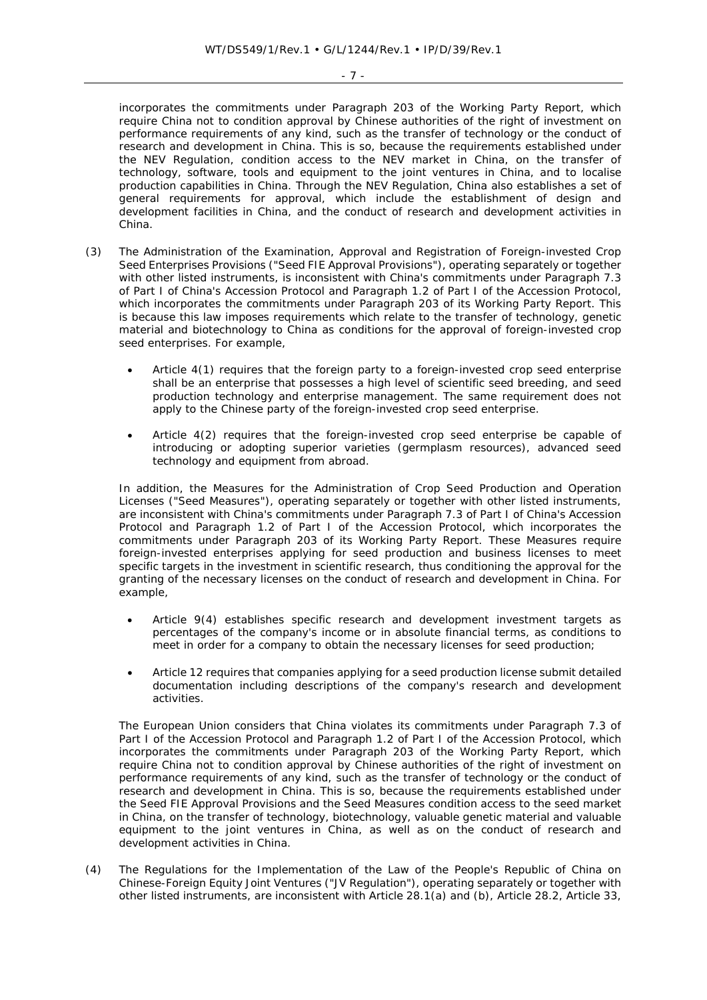- 7 -

incorporates the commitments under Paragraph 203 of the Working Party Report, which require China not to condition approval by Chinese authorities of the right of investment on performance requirements of *any* kind, such as the transfer of technology or the conduct of research and development in China. This is so, because the requirements established under the *NEV Regulation*, condition access to the NEV market in China, on the transfer of technology, software, tools and equipment to the joint ventures in China, and to localise production capabilities in China. Through the NEV Regulation, China also establishes a set of general requirements for approval, which include the establishment of design and development facilities in China, and the conduct of research and development activities in China.

- (3) The *Administration of the Examination, Approval and Registration of Foreign-invested Crop Seed Enterprises Provisions* ("Seed FIE Approval Provisions"), operating separately or together with other listed instruments, is inconsistent with China's commitments under Paragraph 7.3 of Part I of China's *Accession Protocol* and Paragraph 1.2 of Part I of the Accession Protocol, which incorporates the commitments under Paragraph 203 of its Working Party Report. This is because this law imposes requirements which relate to the transfer of technology, genetic material and biotechnology to China as conditions for the approval of foreign-invested crop seed enterprises. For example,
	- Article 4(1) requires that the foreign party to a foreign-invested crop seed enterprise shall be an enterprise that possesses a high level of scientific seed breeding, and seed production technology and enterprise management. The same requirement does not apply to the Chinese party of the foreign-invested crop seed enterprise.
	- Article 4(2) requires that the foreign-invested crop seed enterprise be capable of introducing or adopting superior varieties (germplasm resources), advanced seed technology and equipment from abroad.

In addition, the *Measures for the Administration of Crop Seed Production and Operation Licenses* ("Seed Measures"), operating separately or together with other listed instruments, are inconsistent with China's commitments under Paragraph 7.3 of Part I of China's *Accession Protocol* and Paragraph 1.2 of Part I of the Accession Protocol, which incorporates the commitments under Paragraph 203 of its Working Party Report. These Measures require foreign-invested enterprises applying for seed production and business licenses to meet specific targets in the investment in scientific research, thus conditioning the approval for the granting of the necessary licenses on the conduct of research and development in China. For example,

- Article 9(4) establishes specific research and development investment targets as percentages of the company's income or in absolute financial terms, as conditions to meet in order for a company to obtain the necessary licenses for seed production;
- Article 12 requires that companies applying for a seed production license submit detailed documentation including descriptions of the company's research and development activities.

The European Union considers that China violates its commitments under Paragraph 7.3 of Part I of the Accession Protocol and Paragraph 1.2 of Part I of the Accession Protocol, which incorporates the commitments under Paragraph 203 of the Working Party Report, which require China not to condition approval by Chinese authorities of the right of investment on performance requirements of *any* kind, such as the transfer of technology or the conduct of research and development in China. This is so, because the requirements established under the *Seed FIE Approval Provisions* and the *Seed Measures* condition access to the seed market in China, on the transfer of technology, biotechnology, valuable genetic material and valuable equipment to the joint ventures in China, as well as on the conduct of research and development activities in China.

(4) *The Regulations for the Implementation of the Law of the People's Republic of China on Chinese-Foreign Equity Joint Ventures* ("JV Regulation"), operating separately or together with other listed instruments, are inconsistent with Article 28.1(a) and (b), Article 28.2, Article 33,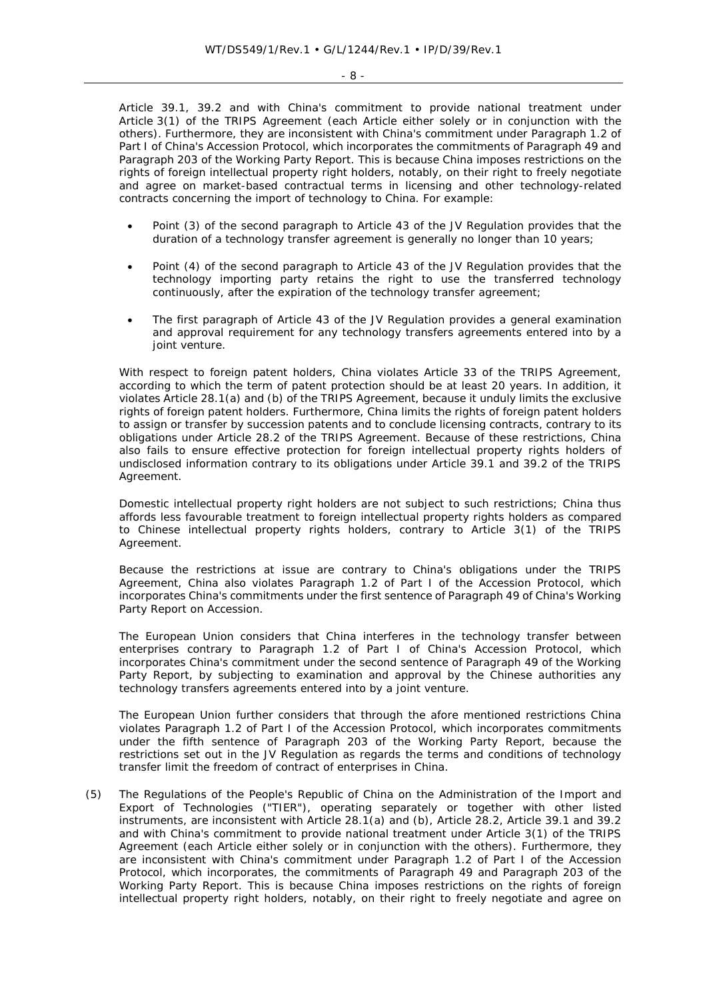Article 39.1, 39.2 and with China's commitment to provide national treatment under Article 3(1) of the TRIPS Agreement (each Article either solely or in conjunction with the others). Furthermore, they are inconsistent with China's commitment under Paragraph 1.2 of Part I of China's Accession Protocol, which incorporates the commitments of Paragraph 49 and Paragraph 203 of the Working Party Report. This is because China imposes restrictions on the rights of foreign intellectual property right holders, notably, on their right to freely negotiate and agree on market-based contractual terms in licensing and other technology-related contracts concerning the import of technology to China. For example:

- Point (3) of the second paragraph to Article 43 of the JV Regulation provides that the duration of a technology transfer agreement is generally no longer than 10 years;
- Point (4) of the second paragraph to Article 43 of the JV Regulation provides that the technology importing party retains the right to use the transferred technology continuously, after the expiration of the technology transfer agreement;
- The first paragraph of Article 43 of the JV Regulation provides a general examination and approval requirement for any technology transfers agreements entered into by a joint venture.

With respect to foreign patent holders, China violates Article 33 of the TRIPS Agreement, according to which the term of patent protection should be at least 20 years. In addition, it violates Article 28.1(a) and (b) of the TRIPS Agreement, because it unduly limits the exclusive rights of foreign patent holders. Furthermore, China limits the rights of foreign patent holders to assign or transfer by succession patents and to conclude licensing contracts, contrary to its obligations under Article 28.2 of the TRIPS Agreement. Because of these restrictions, China also fails to ensure effective protection for foreign intellectual property rights holders of undisclosed information contrary to its obligations under Article 39.1 and 39.2 of the TRIPS Agreement.

Domestic intellectual property right holders are not subject to such restrictions; China thus affords less favourable treatment to foreign intellectual property rights holders as compared to Chinese intellectual property rights holders, contrary to Article 3(1) of the TRIPS Agreement.

Because the restrictions at issue are contrary to China's obligations under the TRIPS Agreement, China also violates Paragraph 1.2 of Part I of the Accession Protocol, which incorporates China's commitments under the first sentence of Paragraph 49 of China's Working Party Report on Accession.

The European Union considers that China interferes in the technology transfer between enterprises contrary to Paragraph 1.2 of Part I of China's Accession Protocol, which incorporates China's commitment under the second sentence of Paragraph 49 of the Working Party Report, by subjecting to examination and approval by the Chinese authorities any technology transfers agreements entered into by a joint venture.

The European Union further considers that through the afore mentioned restrictions China violates Paragraph 1.2 of Part I of the Accession Protocol, which incorporates commitments under the fifth sentence of Paragraph 203 of the Working Party Report, because the restrictions set out in the JV Regulation as regards the terms and conditions of technology transfer limit the freedom of contract of enterprises in China.

(5) The *Regulations of the People's Republic of China on the Administration of the Import and Export of Technologies* ("TIER"), operating separately or together with other listed instruments, are inconsistent with Article 28.1(a) and (b), Article 28.2, Article 39.1 and 39.2 and with China's commitment to provide national treatment under Article 3(1) of the TRIPS Agreement (each Article either solely or in conjunction with the others). Furthermore, they are inconsistent with China's commitment under Paragraph 1.2 of Part I of the Accession Protocol, which incorporates, the commitments of Paragraph 49 and Paragraph 203 of the Working Party Report. This is because China imposes restrictions on the rights of foreign intellectual property right holders, notably, on their right to freely negotiate and agree on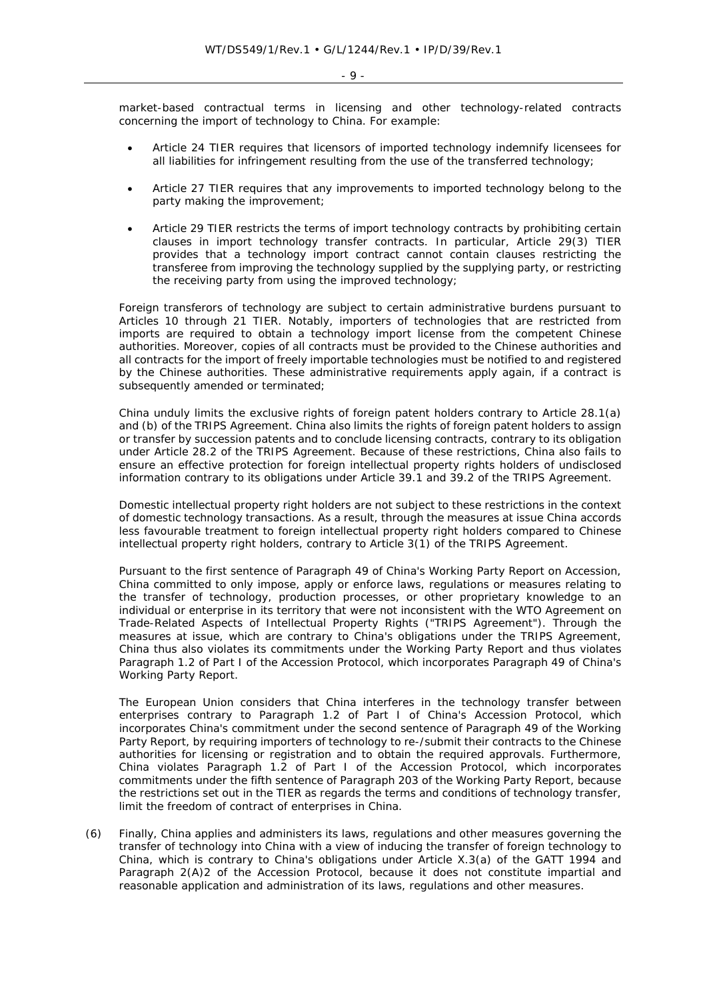market-based contractual terms in licensing and other technology-related contracts concerning the import of technology to China. For example:

- Article 24 TIER requires that licensors of imported technology indemnify licensees for all liabilities for infringement resulting from the use of the transferred technology;
- Article 27 TIER requires that any improvements to imported technology belong to the party making the improvement;
- Article 29 TIER restricts the terms of import technology contracts by prohibiting certain clauses in import technology transfer contracts. In particular, Article 29(3) TIER provides that a technology import contract cannot contain clauses restricting the transferee from improving the technology supplied by the supplying party, or restricting the receiving party from using the improved technology;

Foreign transferors of technology are subject to certain administrative burdens pursuant to Articles 10 through 21 TIER. Notably, importers of technologies that are restricted from imports are required to obtain a technology import license from the competent Chinese authorities. Moreover, copies of all contracts must be provided to the Chinese authorities and all contracts for the import of freely importable technologies must be notified to and registered by the Chinese authorities. These administrative requirements apply again, if a contract is subsequently amended or terminated;

China unduly limits the exclusive rights of foreign patent holders contrary to Article 28.1(a) and (b) of the TRIPS Agreement. China also limits the rights of foreign patent holders to assign or transfer by succession patents and to conclude licensing contracts, contrary to its obligation under Article 28.2 of the TRIPS Agreement. Because of these restrictions, China also fails to ensure an effective protection for foreign intellectual property rights holders of undisclosed information contrary to its obligations under Article 39.1 and 39.2 of the TRIPS Agreement.

Domestic intellectual property right holders are not subject to these restrictions in the context of domestic technology transactions. As a result, through the measures at issue China accords less favourable treatment to foreign intellectual property right holders compared to Chinese intellectual property right holders, contrary to Article 3(1) of the TRIPS Agreement.

Pursuant to the first sentence of Paragraph 49 of China's Working Party Report on Accession, China committed to only impose, apply or enforce laws, regulations or measures relating to the transfer of technology, production processes, or other proprietary knowledge to an individual or enterprise in its territory that were not inconsistent with the WTO Agreement on Trade-Related Aspects of Intellectual Property Rights ("TRIPS Agreement"). Through the measures at issue, which are contrary to China's obligations under the TRIPS Agreement, China thus also violates its commitments under the Working Party Report and thus violates Paragraph 1.2 of Part I of the Accession Protocol, which incorporates Paragraph 49 of China's Working Party Report.

The European Union considers that China interferes in the technology transfer between enterprises contrary to Paragraph 1.2 of Part I of China's Accession Protocol, which incorporates China's commitment under the second sentence of Paragraph 49 of the Working Party Report, by requiring importers of technology to re-/submit their contracts to the Chinese authorities for licensing or registration and to obtain the required approvals. Furthermore, China violates Paragraph 1.2 of Part I of the Accession Protocol, which incorporates commitments under the fifth sentence of Paragraph 203 of the Working Party Report, because the restrictions set out in the TIER as regards the terms and conditions of technology transfer, limit the freedom of contract of enterprises in China.

(6) Finally, China applies and administers its laws, regulations and other measures governing the transfer of technology into China with a view of inducing the transfer of foreign technology to China, which is contrary to China's obligations under Article X.3(a) of the GATT 1994 and Paragraph 2(A)2 of the Accession Protocol, because it does not constitute impartial and reasonable application and administration of its laws, regulations and other measures.